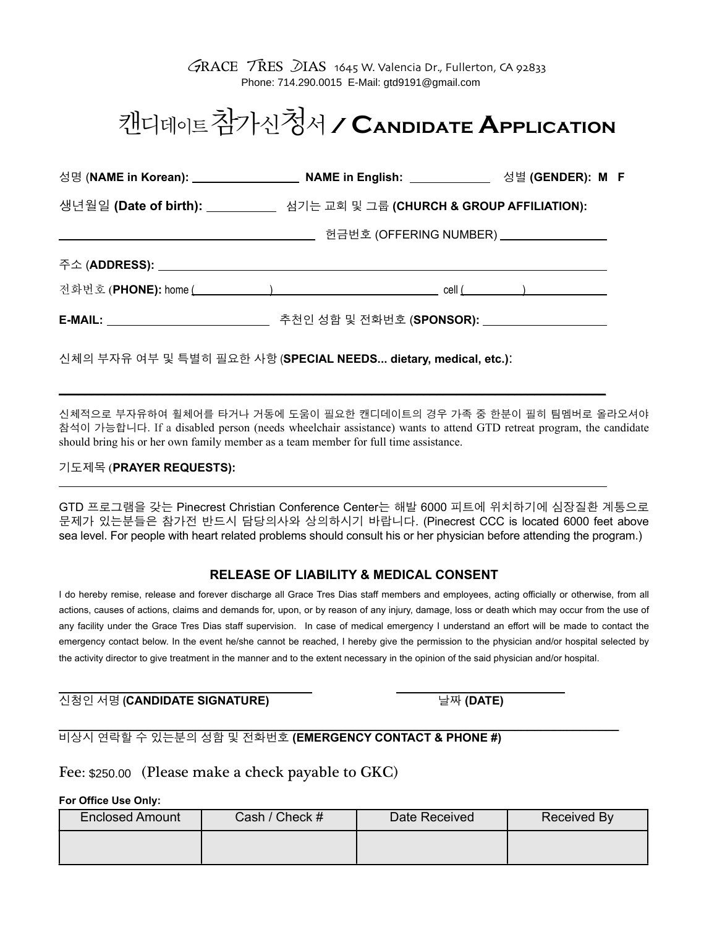# 캔디데이트참가신청서 **/ Candidate Application**

| 성명 (NAME in Korean): ________________________ NAME in English: _____________ 성별 (GENDER): M F                                                                                                                                                                                                                                                                                                                                                                                                                                                                                                                                                                                                               |                                                                            |           |
|-------------------------------------------------------------------------------------------------------------------------------------------------------------------------------------------------------------------------------------------------------------------------------------------------------------------------------------------------------------------------------------------------------------------------------------------------------------------------------------------------------------------------------------------------------------------------------------------------------------------------------------------------------------------------------------------------------------|----------------------------------------------------------------------------|-----------|
| 생년월일 (Date of birth): _________ 섬기는 교회 및 그룹 (CHURCH & GROUP AFFILIATION):                                                                                                                                                                                                                                                                                                                                                                                                                                                                                                                                                                                                                                   |                                                                            |           |
|                                                                                                                                                                                                                                                                                                                                                                                                                                                                                                                                                                                                                                                                                                             | ______________________________ 헌금번호 (OFFERING NUMBER) ____________________ |           |
|                                                                                                                                                                                                                                                                                                                                                                                                                                                                                                                                                                                                                                                                                                             |                                                                            |           |
|                                                                                                                                                                                                                                                                                                                                                                                                                                                                                                                                                                                                                                                                                                             |                                                                            |           |
| E-MAIL: ______________________________ 추천인 성함 및 전화번호 (SPONSOR): _________________                                                                                                                                                                                                                                                                                                                                                                                                                                                                                                                                                                                                                           |                                                                            |           |
| 신체적으로 부자유하여 휠체어를 타거나 거동에 도움이 필요한 캔디데이트의 경우 가족 중 한분이 필히 팀멤버로 올라도<br>참석이 가능합니다. If a disabled person (needs wheelchair assistance) wants to attend GTD retreat program, the cand<br>should bring his or her own family member as a team member for full time assistance.                                                                                                                                                                                                                                                                                                                                                                                                                                      |                                                                            |           |
| 기도제목 (PRAYER REQUESTS):                                                                                                                                                                                                                                                                                                                                                                                                                                                                                                                                                                                                                                                                                     |                                                                            |           |
| GTD 프로그램을 갖는 Pinecrest Christian Conference Center는 해발 6000 피트에 위치하기에 심장질환 계통<br>문제가 있는분들은 참가전 반드시 담당의사와 상의하시기 바랍니다. (Pinecrest CCC is located 6000 feet a<br>sea level. For people with heart related problems should consult his or her physician before attending the progra                                                                                                                                                                                                                                                                                                                                                                                                                             |                                                                            |           |
|                                                                                                                                                                                                                                                                                                                                                                                                                                                                                                                                                                                                                                                                                                             | <b>RELEASE OF LIABILITY &amp; MEDICAL CONSENT</b>                          |           |
| I do hereby remise, release and forever discharge all Grace Tres Dias staff members and employees, acting officially or otherwise, from<br>actions, causes of actions, claims and demands for, upon, or by reason of any injury, damage, loss or death which may occur from the i<br>any facility under the Grace Tres Dias staff supervision. In case of medical emergency I understand an effort will be made to conta<br>emergency contact below. In the event he/she cannot be reached, I hereby give the permission to the physician and/or hospital select<br>the activity director to give treatment in the manner and to the extent necessary in the opinion of the said physician and/or hospital. |                                                                            |           |
| 신청인 서명 (CANDIDATE SIGNATURE)                                                                                                                                                                                                                                                                                                                                                                                                                                                                                                                                                                                                                                                                                |                                                                            | 날짜 (DATE) |
|                                                                                                                                                                                                                                                                                                                                                                                                                                                                                                                                                                                                                                                                                                             |                                                                            |           |

### 기도제목 (**PRAYER REQUESTS):**

## **RELEASE OF LIABILITY & MEDICAL CONSENT**

#### $\overline{a}$ 신청인 서명 **(CANDIDATE SIGNATURE)** 날짜 **(DATE)**

#### $\_$  , and the state of the state of the state of the state of the state of the state of the state of the state of the state of the state of the state of the state of the state of the state of the state of the state of the 비상시 연락할 수 있는분의 성함 및 전화번호 **(EMERGENCY CONTACT & PHONE #)**

# Fee: \$350.00 (Please make a check payable to GKC) \$250.00

### **For Office Use Only:**

| <b>Enclosed Amount</b> | Cash / Check # | Date Received | Received By |
|------------------------|----------------|---------------|-------------|
|                        |                |               |             |